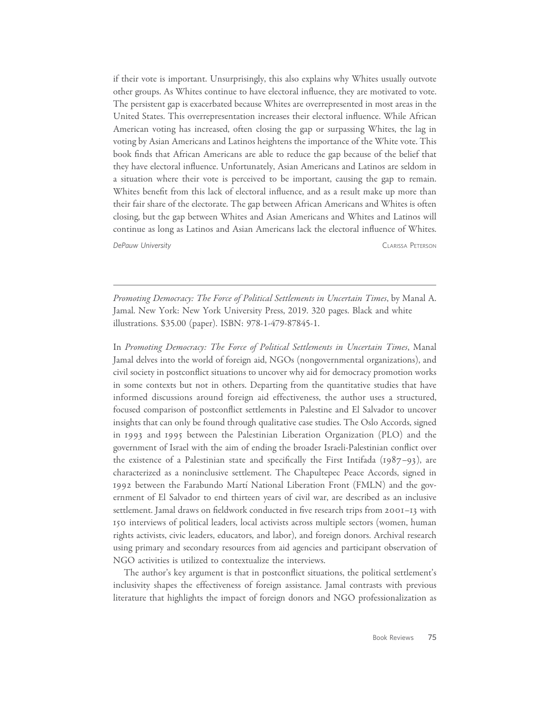if their vote is important. Unsurprisingly, this also explains why Whites usually outvote other groups. As Whites continue to have electoral influence, they are motivated to vote. The persistent gap is exacerbated because Whites are overrepresented in most areas in the United States. This overrepresentation increases their electoral influence. While African American voting has increased, often closing the gap or surpassing Whites, the lag in voting by Asian Americans and Latinos heightens the importance of the White vote. This book finds that African Americans are able to reduce the gap because of the belief that they have electoral influence. Unfortunately, Asian Americans and Latinos are seldom in a situation where their vote is perceived to be important, causing the gap to remain. Whites benefit from this lack of electoral influence, and as a result make up more than their fair share of the electorate. The gap between African Americans and Whites is often closing, but the gap between Whites and Asian Americans and Whites and Latinos will continue as long as Latinos and Asian Americans lack the electoral influence of Whites. DePauw University CLARISSA PETERSON

Promoting Democracy: The Force of Political Settlements in Uncertain Times, by Manal A. Jamal. New York: New York University Press, 2019. 320 pages. Black and white illustrations. \$35.00 (paper). ISBN: 978-1-479-87845-1.

In Promoting Democracy: The Force of Political Settlements in Uncertain Times, Manal Jamal delves into the world of foreign aid, NGOs (nongovernmental organizations), and civil society in postconflict situations to uncover why aid for democracy promotion works in some contexts but not in others. Departing from the quantitative studies that have informed discussions around foreign aid effectiveness, the author uses a structured, focused comparison of postconflict settlements in Palestine and El Salvador to uncover insights that can only be found through qualitative case studies. The Oslo Accords, signed in 1993 and 1995 between the Palestinian Liberation Organization (PLO) and the government of Israel with the aim of ending the broader Israeli-Palestinian conflict over the existence of a Palestinian state and specifically the First Intifada (1987–93), are characterized as a noninclusive settlement. The Chapultepec Peace Accords, signed in 1992 between the Farabundo Martı´ National Liberation Front (FMLN) and the government of El Salvador to end thirteen years of civil war, are described as an inclusive settlement. Jamal draws on fieldwork conducted in five research trips from 2001–13 with 150 interviews of political leaders, local activists across multiple sectors (women, human rights activists, civic leaders, educators, and labor), and foreign donors. Archival research using primary and secondary resources from aid agencies and participant observation of NGO activities is utilized to contextualize the interviews.

The author's key argument is that in postconflict situations, the political settlement's inclusivity shapes the effectiveness of foreign assistance. Jamal contrasts with previous literature that highlights the impact of foreign donors and NGO professionalization as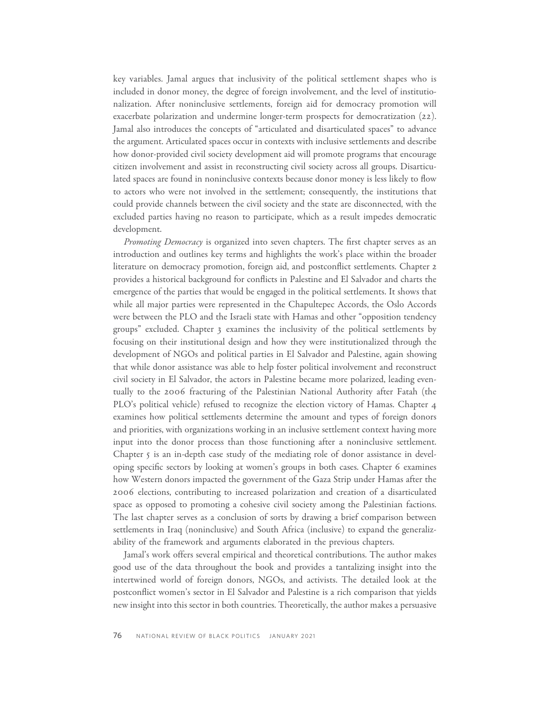key variables. Jamal argues that inclusivity of the political settlement shapes who is included in donor money, the degree of foreign involvement, and the level of institutionalization. After noninclusive settlements, foreign aid for democracy promotion will exacerbate polarization and undermine longer-term prospects for democratization (22). Jamal also introduces the concepts of "articulated and disarticulated spaces" to advance the argument. Articulated spaces occur in contexts with inclusive settlements and describe how donor-provided civil society development aid will promote programs that encourage citizen involvement and assist in reconstructing civil society across all groups. Disarticulated spaces are found in noninclusive contexts because donor money is less likely to flow to actors who were not involved in the settlement; consequently, the institutions that could provide channels between the civil society and the state are disconnected, with the excluded parties having no reason to participate, which as a result impedes democratic development.

Promoting Democracy is organized into seven chapters. The first chapter serves as an introduction and outlines key terms and highlights the work's place within the broader literature on democracy promotion, foreign aid, and postconflict settlements. Chapter 2 provides a historical background for conflicts in Palestine and El Salvador and charts the emergence of the parties that would be engaged in the political settlements. It shows that while all major parties were represented in the Chapultepec Accords, the Oslo Accords were between the PLO and the Israeli state with Hamas and other "opposition tendency groups" excluded. Chapter 3 examines the inclusivity of the political settlements by focusing on their institutional design and how they were institutionalized through the development of NGOs and political parties in El Salvador and Palestine, again showing that while donor assistance was able to help foster political involvement and reconstruct civil society in El Salvador, the actors in Palestine became more polarized, leading eventually to the 2006 fracturing of the Palestinian National Authority after Fatah (the PLO's political vehicle) refused to recognize the election victory of Hamas. Chapter 4 examines how political settlements determine the amount and types of foreign donors and priorities, with organizations working in an inclusive settlement context having more input into the donor process than those functioning after a noninclusive settlement. Chapter 5 is an in-depth case study of the mediating role of donor assistance in developing specific sectors by looking at women's groups in both cases. Chapter 6 examines how Western donors impacted the government of the Gaza Strip under Hamas after the 2006 elections, contributing to increased polarization and creation of a disarticulated space as opposed to promoting a cohesive civil society among the Palestinian factions. The last chapter serves as a conclusion of sorts by drawing a brief comparison between settlements in Iraq (noninclusive) and South Africa (inclusive) to expand the generalizability of the framework and arguments elaborated in the previous chapters.

Jamal's work offers several empirical and theoretical contributions. The author makes good use of the data throughout the book and provides a tantalizing insight into the intertwined world of foreign donors, NGOs, and activists. The detailed look at the postconflict women's sector in El Salvador and Palestine is a rich comparison that yields new insight into this sector in both countries. Theoretically, the author makes a persuasive